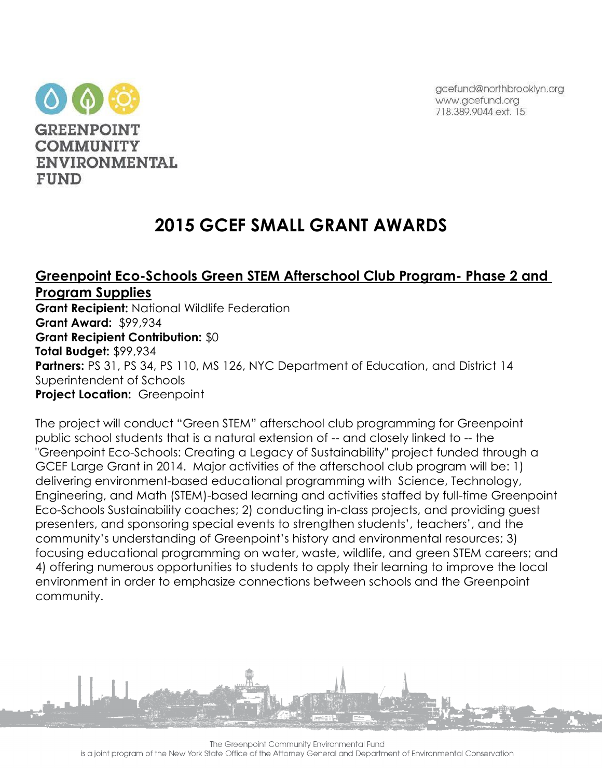gcefund@northbrooklyn.org www.gcefund.org 718,389,9044 ext. 15



# **2015 GCEF SMALL GRANT AWARDS**

# **Greenpoint Eco-Schools Green STEM Afterschool Club Program- Phase 2 and Program Supplies**

**Grant Recipient:** National Wildlife Federation **Grant Award:** \$99,934 **Grant Recipient Contribution:** \$0 **Total Budget:** \$99,934 **Partners:** PS 31, PS 34, PS 110, MS 126, NYC Department of Education, and District 14 Superintendent of Schools **Project Location:** Greenpoint

The project will conduct "Green STEM" afterschool club programming for Greenpoint public school students that is a natural extension of -- and closely linked to -- the "Greenpoint Eco-Schools: Creating a Legacy of Sustainability" project funded through a GCEF Large Grant in 2014. Major activities of the afterschool club program will be: 1) delivering environment-based educational programming with Science, Technology, Engineering, and Math (STEM)-based learning and activities staffed by full-time Greenpoint Eco-Schools Sustainability coaches; 2) conducting in-class projects, and providing guest presenters, and sponsoring special events to strengthen students', teachers', and the community's understanding of Greenpoint's history and environmental resources; 3) focusing educational programming on water, waste, wildlife, and green STEM careers; and 4) offering numerous opportunities to students to apply their learning to improve the local environment in order to emphasize connections between schools and the Greenpoint community.

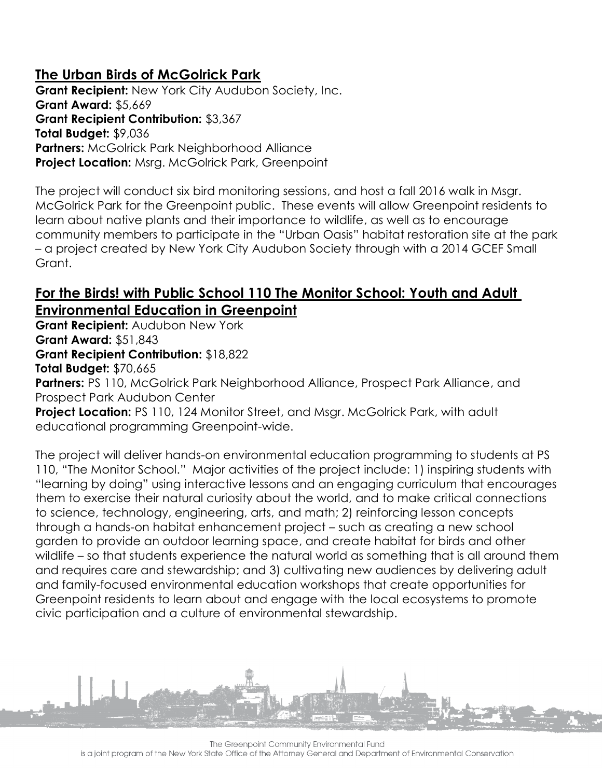# **The Urban Birds of McGolrick Park**

**Grant Recipient:** New York City Audubon Society, Inc. **Grant Award:** \$5,669 **Grant Recipient Contribution:** \$3,367 **Total Budget:** \$9,036 **Partners:** McGolrick Park Neighborhood Alliance **Project Location:** Msrg. McGolrick Park, Greenpoint

The project will conduct six bird monitoring sessions, and host a fall 2016 walk in Msgr. McGolrick Park for the Greenpoint public. These events will allow Greenpoint residents to learn about native plants and their importance to wildlife, as well as to encourage community members to participate in the "Urban Oasis" habitat restoration site at the park – a project created by New York City Audubon Society through with a 2014 GCEF Small Grant.

#### **For the Birds! with Public School 110 The Monitor School: Youth and Adult Environmental Education in Greenpoint**

**Grant Recipient:** Audubon New York **Grant Award:** \$51,843 **Grant Recipient Contribution:** \$18,822 **Total Budget:** \$70,665

Partners: PS 110, McGolrick Park Neighborhood Alliance, Prospect Park Alliance, and Prospect Park Audubon Center

**Project Location:** PS 110, 124 Monitor Street, and Msgr. McGolrick Park, with adult educational programming Greenpoint-wide.

The project will deliver hands-on environmental education programming to students at PS 110, "The Monitor School." Major activities of the project include: 1) inspiring students with "learning by doing" using interactive lessons and an engaging curriculum that encourages them to exercise their natural curiosity about the world, and to make critical connections to science, technology, engineering, arts, and math; 2) reinforcing lesson concepts through a hands-on habitat enhancement project – such as creating a new school garden to provide an outdoor learning space, and create habitat for birds and other wildlife – so that students experience the natural world as something that is all around them and requires care and stewardship; and 3) cultivating new audiences by delivering adult and family-focused environmental education workshops that create opportunities for Greenpoint residents to learn about and engage with the local ecosystems to promote civic participation and a culture of environmental stewardship.

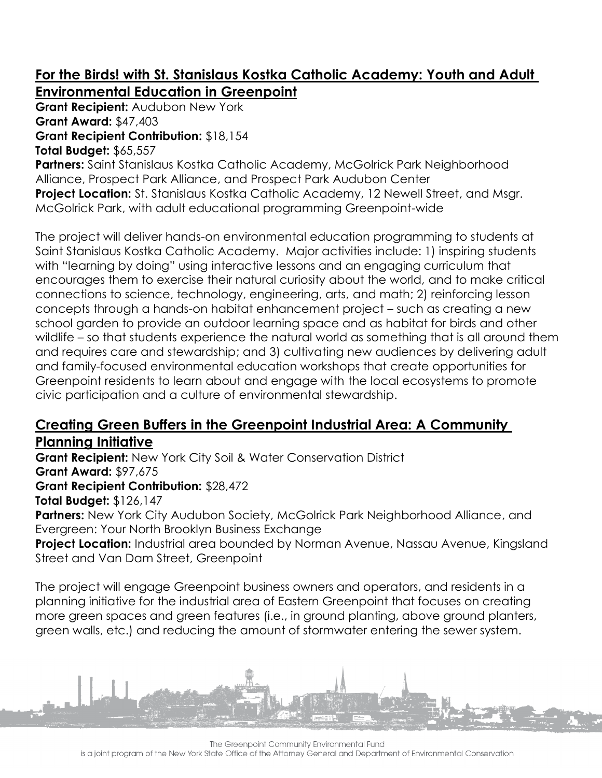### **For the Birds! with St. Stanislaus Kostka Catholic Academy: Youth and Adult Environmental Education in Greenpoint**

**Grant Recipient:** Audubon New York **Grant Award:** \$47,403 **Grant Recipient Contribution:** \$18,154

**Total Budget:** \$65,557

**Partners:** Saint Stanislaus Kostka Catholic Academy, McGolrick Park Neighborhood Alliance, Prospect Park Alliance, and Prospect Park Audubon Center **Project Location:** St. Stanislaus Kostka Catholic Academy, 12 Newell Street, and Msgr. McGolrick Park, with adult educational programming Greenpoint-wide

The project will deliver hands-on environmental education programming to students at Saint Stanislaus Kostka Catholic Academy. Major activities include: 1) inspiring students with "learning by doing" using interactive lessons and an engaging curriculum that encourages them to exercise their natural curiosity about the world, and to make critical connections to science, technology, engineering, arts, and math; 2) reinforcing lesson concepts through a hands-on habitat enhancement project – such as creating a new school garden to provide an outdoor learning space and as habitat for birds and other wildlife – so that students experience the natural world as something that is all around them and requires care and stewardship; and 3) cultivating new audiences by delivering adult and family-focused environmental education workshops that create opportunities for Greenpoint residents to learn about and engage with the local ecosystems to promote civic participation and a culture of environmental stewardship.

#### **Creating Green Buffers in the Greenpoint Industrial Area: A Community Planning Initiative**

**Grant Recipient:** New York City Soil & Water Conservation District **Grant Award:** \$97,675

**Grant Recipient Contribution:** \$28,472

**Total Budget:** \$126,147

**Partners:** New York City Audubon Society, McGolrick Park Neighborhood Alliance, and Evergreen: Your North Brooklyn Business Exchange

**Project Location:** Industrial area bounded by Norman Avenue, Nassau Avenue, Kingsland Street and Van Dam Street, Greenpoint

The project will engage Greenpoint business owners and operators, and residents in a planning initiative for the industrial area of Eastern Greenpoint that focuses on creating more green spaces and green features (i.e., in ground planting, above ground planters, green walls, etc.) and reducing the amount of stormwater entering the sewer system.

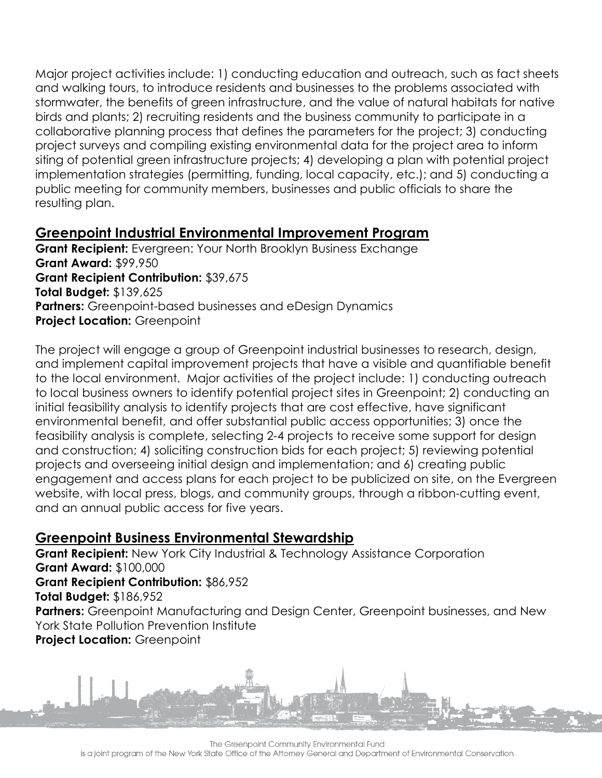Major project activities include: 1) conducting education and outreach, such as fact sheets and walking tours, to introduce residents and businesses to the problems associated with stormwater, the benefits of green infrastructure, and the value of natural habitats for native birds and plants; 2) recruiting residents and the business community to participate in a collaborative planning process that defines the parameters for the project; 3) conducting project surveys and compiling existing environmental data for the project area to inform siting of potential green infrastructure projects; 4) developing a plan with potential project implementation strategies (permitting, funding, local capacity, etc.); and 5) conducting a public meeting for community members, businesses and public officials to share the resulting plan.

#### **Greenpoint Industrial Environmental Improvement Program**

**Grant Recipient:** Evergreen: Your North Brooklyn Business Exchange **Grant Award:** \$99,950 **Grant Recipient Contribution:** \$39,675 **Total Budget:** \$139,625 **Partners:** Greenpoint-based businesses and eDesign Dynamics **Project Location:** Greenpoint

The project will engage a group of Greenpoint industrial businesses to research, design, and implement capital improvement projects that have a visible and quantifiable benefit to the local environment. Major activities of the project include: 1) conducting outreach to local business owners to identify potential project sites in Greenpoint; 2) conducting an initial feasibility analysis to identify projects that are cost effective, have significant environmental benefit, and offer substantial public access opportunities; 3) once the feasibility analysis is complete, selecting 2-4 projects to receive some support for design and construction; 4) soliciting construction bids for each project; 5) reviewing potential projects and overseeing initial design and implementation; and 6) creating public engagement and access plans for each project to be publicized on site, on the Evergreen website, with local press, blogs, and community groups, through a ribbon-cutting event, and an annual public access for five years.

#### **Greenpoint Business Environmental Stewardship**

**Grant Recipient:** New York City Industrial & Technology Assistance Corporation **Grant Award:** \$100,000 **Grant Recipient Contribution:** \$86,952 **Total Budget:** \$186,952 Partners: Greenpoint Manufacturing and Design Center, Greenpoint businesses, and New York State Pollution Prevention Institute **Project Location:** Greenpoint



The Greenpoint Community Environmental Fund

is a joint program of the New York State Office of the Attorney General and Department of Environmental Conservation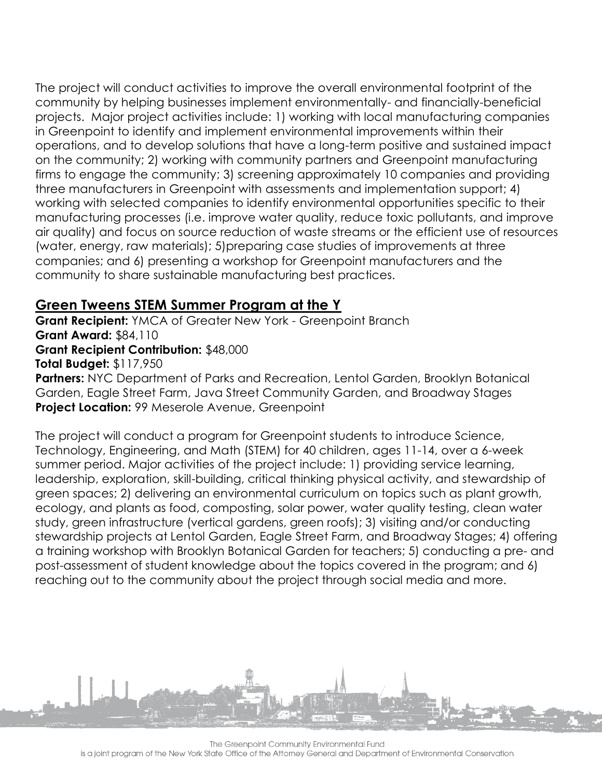The project will conduct activities to improve the overall environmental footprint of the community by helping businesses implement environmentally- and financially-beneficial projects. Major project activities include: 1) working with local manufacturing companies in Greenpoint to identify and implement environmental improvements within their operations, and to develop solutions that have a long-term positive and sustained impact on the community; 2) working with community partners and Greenpoint manufacturing firms to engage the community; 3) screening approximately 10 companies and providing three manufacturers in Greenpoint with assessments and implementation support; 4) working with selected companies to identify environmental opportunities specific to their manufacturing processes (i.e. improve water quality, reduce toxic pollutants, and improve air quality) and focus on source reduction of waste streams or the efficient use of resources (water, energy, raw materials); 5)preparing case studies of improvements at three companies; and 6) presenting a workshop for Greenpoint manufacturers and the community to share sustainable manufacturing best practices.

## **Green Tweens STEM Summer Program at the Y**

**Grant Recipient:** YMCA of Greater New York - Greenpoint Branch **Grant Award:** \$84,110 **Grant Recipient Contribution:** \$48,000 **Total Budget:** \$117,950

**Partners:** NYC Department of Parks and Recreation, Lentol Garden, Brooklyn Botanical Garden, Eagle Street Farm, Java Street Community Garden, and Broadway Stages **Project Location:** 99 Meserole Avenue, Greenpoint

The project will conduct a program for Greenpoint students to introduce Science, Technology, Engineering, and Math (STEM) for 40 children, ages 11-14, over a 6-week summer period. Major activities of the project include: 1) providing service learning, leadership, exploration, skill-building, critical thinking physical activity, and stewardship of green spaces; 2) delivering an environmental curriculum on topics such as plant growth, ecology, and plants as food, composting, solar power, water quality testing, clean water study, green infrastructure (vertical gardens, green roofs); 3) visiting and/or conducting stewardship projects at Lentol Garden, Eagle Street Farm, and Broadway Stages; 4) offering a training workshop with Brooklyn Botanical Garden for teachers; 5) conducting a pre- and post-assessment of student knowledge about the topics covered in the program; and 6) reaching out to the community about the project through social media and more.



The Greenpoint Community Environmental Fund is a joint program of the New York State Office of the Attorney General and Department of Environmental Conservation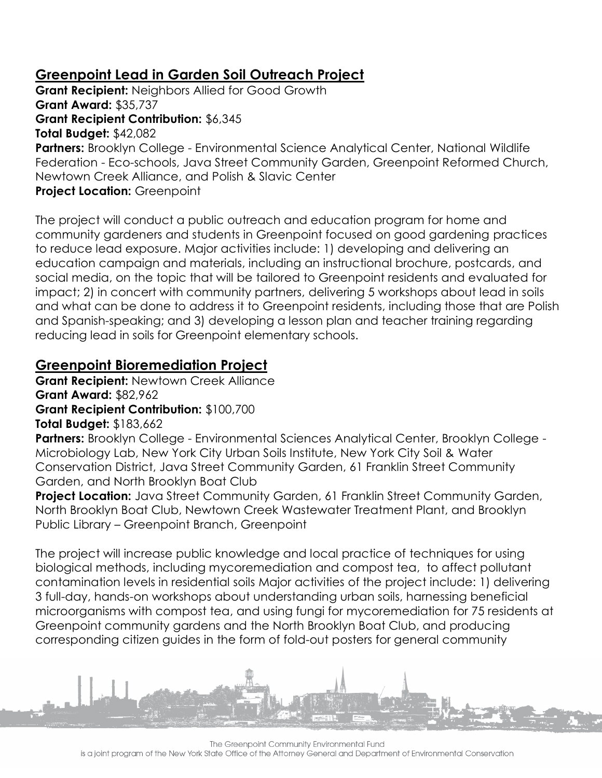# **Greenpoint Lead in Garden Soil Outreach Project**

**Grant Recipient:** Neighbors Allied for Good Growth **Grant Award:** \$35,737 **Grant Recipient Contribution:** \$6,345 **Total Budget:** \$42,082 **Partners:** Brooklyn College - Environmental Science Analytical Center, National Wildlife Federation - Eco-schools, Java Street Community Garden, Greenpoint Reformed Church, Newtown Creek Alliance, and Polish & Slavic Center **Project Location:** Greenpoint

The project will conduct a public outreach and education program for home and community gardeners and students in Greenpoint focused on good gardening practices to reduce lead exposure. Major activities include: 1) developing and delivering an education campaign and materials, including an instructional brochure, postcards, and social media, on the topic that will be tailored to Greenpoint residents and evaluated for impact; 2) in concert with community partners, delivering 5 workshops about lead in soils and what can be done to address it to Greenpoint residents, including those that are Polish and Spanish-speaking; and 3) developing a lesson plan and teacher training regarding reducing lead in soils for Greenpoint elementary schools.

# **Greenpoint Bioremediation Project**

**Grant Recipient:** Newtown Creek Alliance **Grant Award:** \$82,962 **Grant Recipient Contribution:** \$100,700 **Total Budget:** \$183,662

**Partners:** Brooklyn College - Environmental Sciences Analytical Center, Brooklyn College - Microbiology Lab, New York City Urban Soils Institute, New York City Soil & Water Conservation District, Java Street Community Garden, 61 Franklin Street Community Garden, and North Brooklyn Boat Club

**Project Location:** Java Street Community Garden, 61 Franklin Street Community Garden, North Brooklyn Boat Club, Newtown Creek Wastewater Treatment Plant, and Brooklyn Public Library – Greenpoint Branch, Greenpoint

The project will increase public knowledge and local practice of techniques for using biological methods, including mycoremediation and compost tea, to affect pollutant contamination levels in residential soils Major activities of the project include: 1) delivering 3 full-day, hands-on workshops about understanding urban soils, harnessing beneficial microorganisms with compost tea, and using fungi for mycoremediation for 75 residents at Greenpoint community gardens and the North Brooklyn Boat Club, and producing corresponding citizen guides in the form of fold-out posters for general community

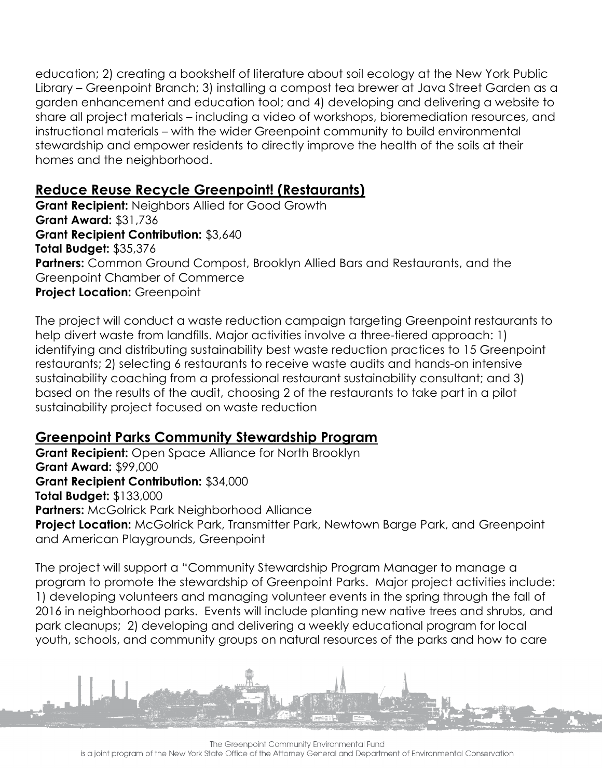education; 2) creating a bookshelf of literature about soil ecology at the New York Public Library – Greenpoint Branch; 3) installing a compost tea brewer at Java Street Garden as a garden enhancement and education tool; and 4) developing and delivering a website to share all project materials – including a video of workshops, bioremediation resources, and instructional materials – with the wider Greenpoint community to build environmental stewardship and empower residents to directly improve the health of the soils at their homes and the neighborhood.

### **Reduce Reuse Recycle Greenpoint! (Restaurants)**

**Grant Recipient:** Neighbors Allied for Good Growth **Grant Award:** \$31,736 **Grant Recipient Contribution:** \$3,640 **Total Budget:** \$35,376 **Partners:** Common Ground Compost, Brooklyn Allied Bars and Restaurants, and the Greenpoint Chamber of Commerce **Project Location:** Greenpoint

The project will conduct a waste reduction campaign targeting Greenpoint restaurants to help divert waste from landfills. Major activities involve a three-tiered approach: 1) identifying and distributing sustainability best waste reduction practices to 15 Greenpoint restaurants; 2) selecting 6 restaurants to receive waste audits and hands-on intensive sustainability coaching from a professional restaurant sustainability consultant; and 3) based on the results of the audit, choosing 2 of the restaurants to take part in a pilot sustainability project focused on waste reduction

# **Greenpoint Parks Community Stewardship Program**

**Grant Recipient:** Open Space Alliance for North Brooklyn **Grant Award:** \$99,000 **Grant Recipient Contribution:** \$34,000 **Total Budget:** \$133,000 **Partners:** McGolrick Park Neighborhood Alliance **Project Location:** McGolrick Park, Transmitter Park, Newtown Barge Park, and Greenpoint and American Playgrounds, Greenpoint

The project will support a "Community Stewardship Program Manager to manage a program to promote the stewardship of Greenpoint Parks. Major project activities include: 1) developing volunteers and managing volunteer events in the spring through the fall of 2016 in neighborhood parks. Events will include planting new native trees and shrubs, and park cleanups; 2) developing and delivering a weekly educational program for local youth, schools, and community groups on natural resources of the parks and how to care

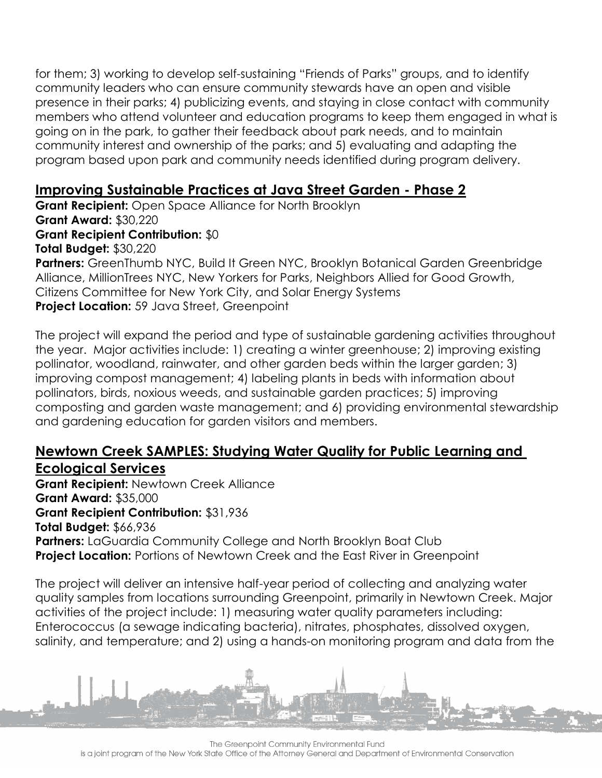for them; 3) working to develop self-sustaining "Friends of Parks" groups, and to identify community leaders who can ensure community stewards have an open and visible presence in their parks; 4) publicizing events, and staying in close contact with community members who attend volunteer and education programs to keep them engaged in what is going on in the park, to gather their feedback about park needs, and to maintain community interest and ownership of the parks; and 5) evaluating and adapting the program based upon park and community needs identified during program delivery.

## **Improving Sustainable Practices at Java Street Garden - Phase 2**

**Grant Recipient:** Open Space Alliance for North Brooklyn **Grant Award:** \$30,220 **Grant Recipient Contribution:** \$0 **Total Budget:** \$30,220 Partners: GreenThumb NYC, Build It Green NYC, Brooklyn Botanical Garden Greenbridge Alliance, MillionTrees NYC, New Yorkers for Parks, Neighbors Allied for Good Growth, Citizens Committee for New York City, and Solar Energy Systems

**Project Location:** 59 Java Street, Greenpoint

The project will expand the period and type of sustainable gardening activities throughout the year. Major activities include: 1) creating a winter greenhouse; 2) improving existing pollinator, woodland, rainwater, and other garden beds within the larger garden; 3) improving compost management; 4) labeling plants in beds with information about pollinators, birds, noxious weeds, and sustainable garden practices; 5) improving composting and garden waste management; and 6) providing environmental stewardship and gardening education for garden visitors and members.

#### **Newtown Creek SAMPLES: Studying Water Quality for Public Learning and Ecological Services**

**Grant Recipient:** Newtown Creek Alliance **Grant Award:** \$35,000 **Grant Recipient Contribution:** \$31,936 **Total Budget:** \$66,936 **Partners:** LaGuardia Community College and North Brooklyn Boat Club **Project Location:** Portions of Newtown Creek and the East River in Greenpoint

The project will deliver an intensive half-year period of collecting and analyzing water quality samples from locations surrounding Greenpoint, primarily in Newtown Creek. Major activities of the project include: 1) measuring water quality parameters including: Enterococcus (a sewage indicating bacteria), nitrates, phosphates, dissolved oxygen, salinity, and temperature; and 2) using a hands-on monitoring program and data from the

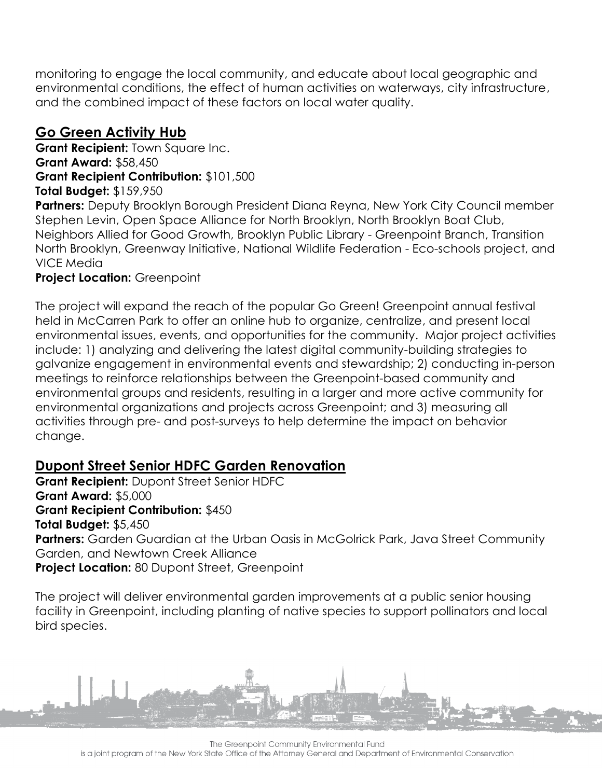monitoring to engage the local community, and educate about local geographic and environmental conditions, the effect of human activities on waterways, city infrastructure, and the combined impact of these factors on local water quality.

# **Go Green Activity Hub**

**Grant Recipient:** Town Square Inc. **Grant Award:** \$58,450 **Grant Recipient Contribution:** \$101,500 **Total Budget:** \$159,950

**Partners:** Deputy Brooklyn Borough President Diana Reyna, New York City Council member Stephen Levin, Open Space Alliance for North Brooklyn, North Brooklyn Boat Club, Neighbors Allied for Good Growth, Brooklyn Public Library - Greenpoint Branch, Transition North Brooklyn, Greenway Initiative, National Wildlife Federation - Eco-schools project, and VICE Media

#### **Project Location:** Greenpoint

The project will expand the reach of the popular Go Green! Greenpoint annual festival held in McCarren Park to offer an online hub to organize, centralize, and present local environmental issues, events, and opportunities for the community. Major project activities include: 1) analyzing and delivering the latest digital community-building strategies to galvanize engagement in environmental events and stewardship; 2) conducting in-person meetings to reinforce relationships between the Greenpoint-based community and environmental groups and residents, resulting in a larger and more active community for environmental organizations and projects across Greenpoint; and 3) measuring all activities through pre- and post-surveys to help determine the impact on behavior change.

# **Dupont Street Senior HDFC Garden Renovation**

**Grant Recipient:** Dupont Street Senior HDFC **Grant Award:** \$5,000 **Grant Recipient Contribution:** \$450 **Total Budget:** \$5,450 Partners: Garden Guardian at the Urban Oasis in McGolrick Park, Java Street Community Garden, and Newtown Creek Alliance **Project Location:** 80 Dupont Street, Greenpoint

The project will deliver environmental garden improvements at a public senior housing facility in Greenpoint, including planting of native species to support pollinators and local bird species.



The Greenpoint Community Environmental Fund is a joint program of the New York State Office of the Attorney General and Department of Environmental Conservation